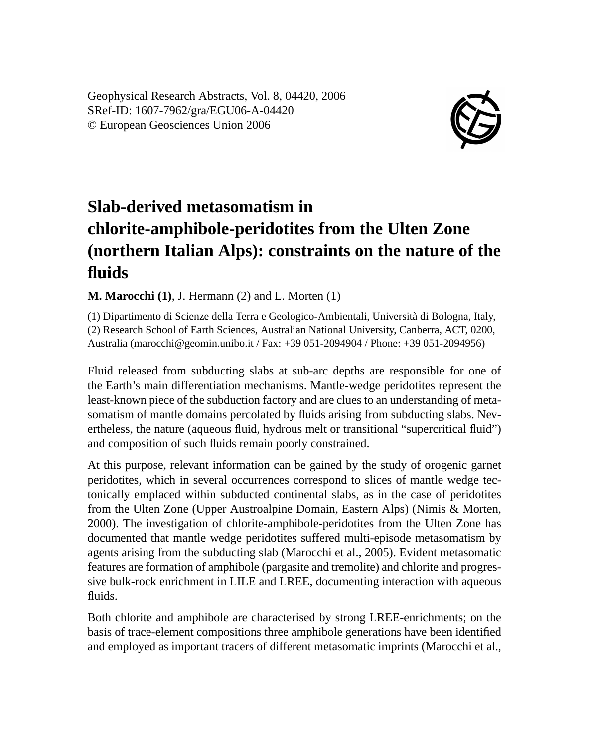Geophysical Research Abstracts, Vol. 8, 04420, 2006 SRef-ID: 1607-7962/gra/EGU06-A-04420 © European Geosciences Union 2006



## **Slab-derived metasomatism in chlorite-amphibole-peridotites from the Ulten Zone (northern Italian Alps): constraints on the nature of the fluids**

**M. Marocchi (1)**, J. Hermann (2) and L. Morten (1)

(1) Dipartimento di Scienze della Terra e Geologico-Ambientali, Università di Bologna, Italy, (2) Research School of Earth Sciences, Australian National University, Canberra, ACT, 0200, Australia (marocchi@geomin.unibo.it / Fax: +39 051-2094904 / Phone: +39 051-2094956)

Fluid released from subducting slabs at sub-arc depths are responsible for one of the Earth's main differentiation mechanisms. Mantle-wedge peridotites represent the least-known piece of the subduction factory and are clues to an understanding of metasomatism of mantle domains percolated by fluids arising from subducting slabs. Nevertheless, the nature (aqueous fluid, hydrous melt or transitional "supercritical fluid") and composition of such fluids remain poorly constrained.

At this purpose, relevant information can be gained by the study of orogenic garnet peridotites, which in several occurrences correspond to slices of mantle wedge tectonically emplaced within subducted continental slabs, as in the case of peridotites from the Ulten Zone (Upper Austroalpine Domain, Eastern Alps) (Nimis & Morten, 2000). The investigation of chlorite-amphibole-peridotites from the Ulten Zone has documented that mantle wedge peridotites suffered multi-episode metasomatism by agents arising from the subducting slab (Marocchi et al., 2005). Evident metasomatic features are formation of amphibole (pargasite and tremolite) and chlorite and progressive bulk-rock enrichment in LILE and LREE, documenting interaction with aqueous fluids.

Both chlorite and amphibole are characterised by strong LREE-enrichments; on the basis of trace-element compositions three amphibole generations have been identified and employed as important tracers of different metasomatic imprints (Marocchi et al.,